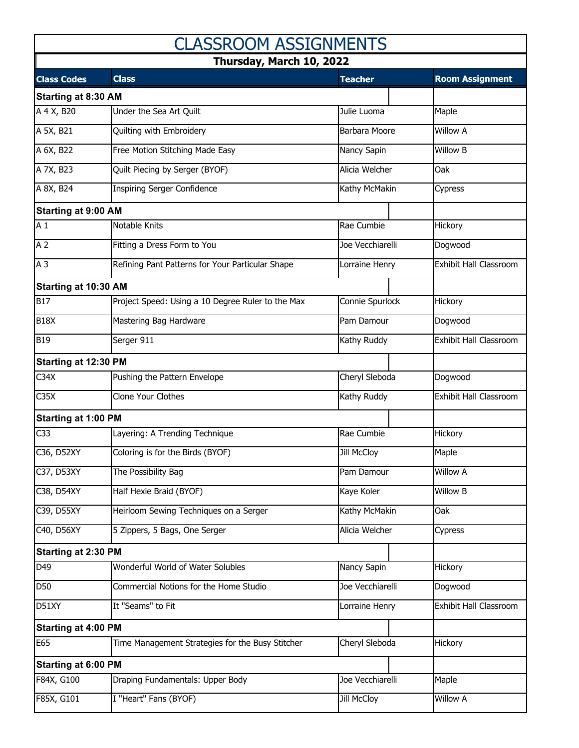| <b>CLASSROOM ASSIGNMENTS</b><br>Thursday, March 10, 2022 |                                                   |                    |                               |  |  |  |
|----------------------------------------------------------|---------------------------------------------------|--------------------|-------------------------------|--|--|--|
|                                                          |                                                   |                    |                               |  |  |  |
| <b>Starting at 8:30 AM</b>                               |                                                   |                    |                               |  |  |  |
| $\overline{A}$ 4 X, B <sub>20</sub>                      | Under the Sea Art Quilt                           | Julie Luoma        | Maple                         |  |  |  |
| A 5X, B21                                                | Quilting with Embroidery                          | Barbara Moore      | <b>Willow A</b>               |  |  |  |
| A 6X, B22                                                | Free Motion Stitching Made Easy                   | Nancy Sapin        | Willow B                      |  |  |  |
| A 7X, B23                                                | Quilt Piecing by Serger (BYOF)                    | Alicia Welcher     | Oak                           |  |  |  |
| A 8X, B24                                                | <b>Inspiring Serger Confidence</b>                | Kathy McMakin      | Cypress                       |  |  |  |
| <b>Starting at 9:00 AM</b>                               |                                                   |                    |                               |  |  |  |
| A <sub>1</sub>                                           | Notable Knits                                     | Rae Cumbie         | Hickory                       |  |  |  |
| A <sub>2</sub>                                           | Fitting a Dress Form to You                       | Joe Vecchiarelli   | Dogwood                       |  |  |  |
| A <sub>3</sub>                                           | Refining Pant Patterns for Your Particular Shape  | Lorraine Henry     | <b>Exhibit Hall Classroom</b> |  |  |  |
| Starting at 10:30 AM                                     |                                                   |                    |                               |  |  |  |
| <b>B17</b>                                               | Project Speed: Using a 10 Degree Ruler to the Max | Connie Spurlock    | Hickory                       |  |  |  |
| <b>B18X</b>                                              | Mastering Bag Hardware                            | Pam Damour         | Dogwood                       |  |  |  |
| <b>B19</b>                                               | Serger 911                                        | Kathy Ruddy        | Exhibit Hall Classroom        |  |  |  |
| Starting at 12:30 PM                                     |                                                   |                    |                               |  |  |  |
| C34X                                                     | Pushing the Pattern Envelope                      | Cheryl Sleboda     | Dogwood                       |  |  |  |
| C35X                                                     | <b>Clone Your Clothes</b>                         | Kathy Ruddy        | Exhibit Hall Classroom        |  |  |  |
| <b>Starting at 1:00 PM</b>                               |                                                   |                    |                               |  |  |  |
| C <sub>33</sub>                                          | Layering: A Trending Technique                    | Rae Cumbie         | Hickory                       |  |  |  |
| C36, D52XY                                               | Coloring is for the Birds (BYOF)                  | <b>Jill McCloy</b> | Maple                         |  |  |  |
| C37, D53XY                                               | The Possibility Bag                               | Pam Damour         | <b>Willow A</b>               |  |  |  |
| C38, D54XY                                               | Half Hexie Braid (BYOF)                           | Kaye Koler         | <b>Willow B</b>               |  |  |  |
| C39, D55XY                                               | Heirloom Sewing Techniques on a Serger            | Kathy McMakin      | Oak                           |  |  |  |
| C40, D56XY                                               | 5 Zippers, 5 Bags, One Serger                     | Alicia Welcher     | Cypress                       |  |  |  |
| Starting at 2:30 PM                                      |                                                   |                    |                               |  |  |  |
| D49                                                      | Wonderful World of Water Solubles                 | Nancy Sapin        | Hickory                       |  |  |  |
| D50                                                      | Commercial Notions for the Home Studio            | Joe Vecchiarelli   | Dogwood                       |  |  |  |
| D51XY                                                    | It "Seams" to Fit                                 | Lorraine Henry     | Exhibit Hall Classroom        |  |  |  |
| <b>Starting at 4:00 PM</b>                               |                                                   |                    |                               |  |  |  |
| E65                                                      | Time Management Strategies for the Busy Stitcher  | Cheryl Sleboda     | Hickory                       |  |  |  |
| <b>Starting at 6:00 PM</b>                               |                                                   |                    |                               |  |  |  |
| F84X, G100                                               | Draping Fundamentals: Upper Body                  | Joe Vecchiarelli   | Maple                         |  |  |  |
| F85X, G101                                               | I "Heart" Fans (BYOF)                             | <b>Jill McCloy</b> | <b>Willow A</b>               |  |  |  |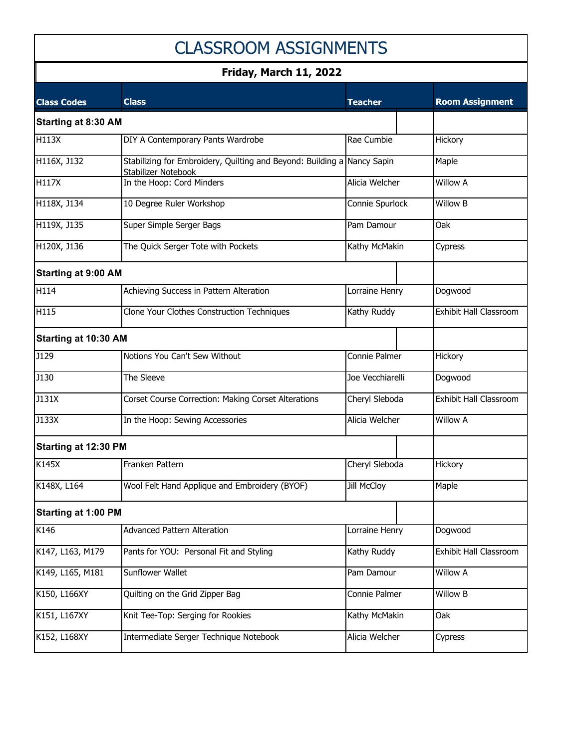## CLASSROOM ASSIGNMENTS

## **Friday, March 11, 2022**

| <b>Class Codes</b>         | <b>Class</b>                                                                                   | <b>Teacher</b>   | <b>Room Assignment</b>        |
|----------------------------|------------------------------------------------------------------------------------------------|------------------|-------------------------------|
| <b>Starting at 8:30 AM</b> |                                                                                                |                  |                               |
| H113X                      | DIY A Contemporary Pants Wardrobe                                                              | Rae Cumbie       | Hickory                       |
| H116X, J132                | Stabilizing for Embroidery, Quilting and Beyond: Building a Nancy Sapin<br>Stabilizer Notebook |                  | Maple                         |
| H117X                      | In the Hoop: Cord Minders                                                                      | Alicia Welcher   | <b>Willow A</b>               |
| H118X, J134                | 10 Degree Ruler Workshop                                                                       | Connie Spurlock  | <b>Willow B</b>               |
| H119X, J135                | Super Simple Serger Bags                                                                       | Pam Damour       | Oak                           |
| H120X, J136                | The Quick Serger Tote with Pockets                                                             | Kathy McMakin    | Cypress                       |
| <b>Starting at 9:00 AM</b> |                                                                                                |                  |                               |
| H114                       | Achieving Success in Pattern Alteration                                                        | Lorraine Henry   | Dogwood                       |
| H115                       | Clone Your Clothes Construction Techniques                                                     | Kathy Ruddy      | <b>Exhibit Hall Classroom</b> |
| Starting at 10:30 AM       |                                                                                                |                  |                               |
| J129                       | Notions You Can't Sew Without                                                                  | Connie Palmer    | Hickory                       |
| J130                       | The Sleeve                                                                                     | Joe Vecchiarelli | Dogwood                       |
| J131X                      | Corset Course Correction: Making Corset Alterations                                            | Cheryl Sleboda   | <b>Exhibit Hall Classroom</b> |
| J133X                      | In the Hoop: Sewing Accessories                                                                | Alicia Welcher   | <b>Willow A</b>               |
| Starting at 12:30 PM       |                                                                                                |                  |                               |
| K145X                      | Franken Pattern                                                                                | Cheryl Sleboda   | Hickory                       |
| K148X, L164                | Wool Felt Hand Applique and Embroidery (BYOF)                                                  | Jill McCloy      | Maple                         |
| <b>Starting at 1:00 PM</b> |                                                                                                |                  |                               |
| K146                       | <b>Advanced Pattern Alteration</b>                                                             | Lorraine Henry   | Dogwood                       |
| K147, L163, M179           | Pants for YOU: Personal Fit and Styling                                                        | Kathy Ruddy      | Exhibit Hall Classroom        |
| K149, L165, M181           | Sunflower Wallet                                                                               | Pam Damour       | <b>Willow A</b>               |
| K150, L166XY               | Quilting on the Grid Zipper Bag                                                                | Connie Palmer    | <b>Willow B</b>               |
| K151, L167XY               | Knit Tee-Top: Serging for Rookies                                                              | Kathy McMakin    | Oak                           |
| K152, L168XY               | Intermediate Serger Technique Notebook                                                         | Alicia Welcher   | Cypress                       |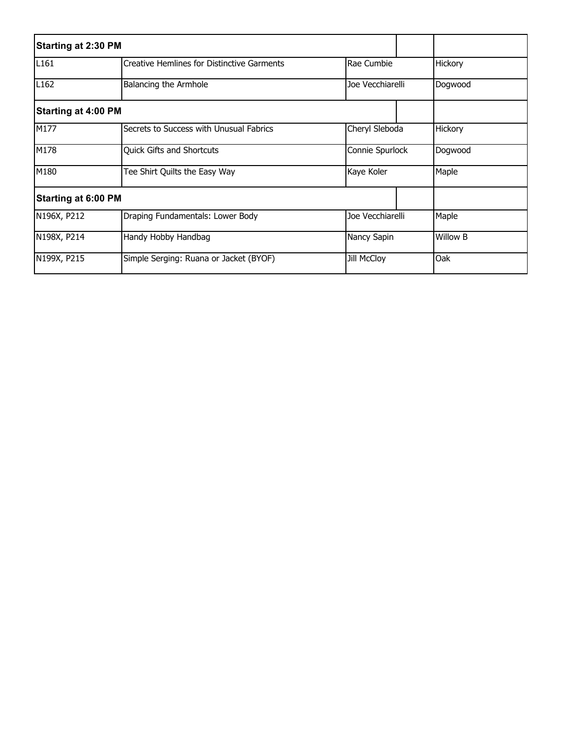| <b>Starting at 2:30 PM</b> |                                                   |                    |  |                 |
|----------------------------|---------------------------------------------------|--------------------|--|-----------------|
| L <sub>161</sub>           | <b>Creative Hemlines for Distinctive Garments</b> | Rae Cumbie         |  | Hickory         |
| L <sub>162</sub>           | Balancing the Armhole                             | Joe Vecchiarelli   |  | Dogwood         |
| <b>Starting at 4:00 PM</b> |                                                   |                    |  |                 |
| M177                       | Secrets to Success with Unusual Fabrics           | Cheryl Sleboda     |  | Hickory         |
| M178                       | <b>Quick Gifts and Shortcuts</b>                  | Connie Spurlock    |  | Dogwood         |
| M180                       | Tee Shirt Quilts the Easy Way                     | Kaye Koler         |  | Maple           |
| <b>Starting at 6:00 PM</b> |                                                   |                    |  |                 |
| N196X, P212                | Draping Fundamentals: Lower Body                  | Joe Vecchiarelli   |  | Maple           |
| N198X, P214                | Handy Hobby Handbag                               | Nancy Sapin        |  | <b>Willow B</b> |
| N199X, P215                | Simple Serging: Ruana or Jacket (BYOF)            | <b>Jill McCloy</b> |  | Oak             |